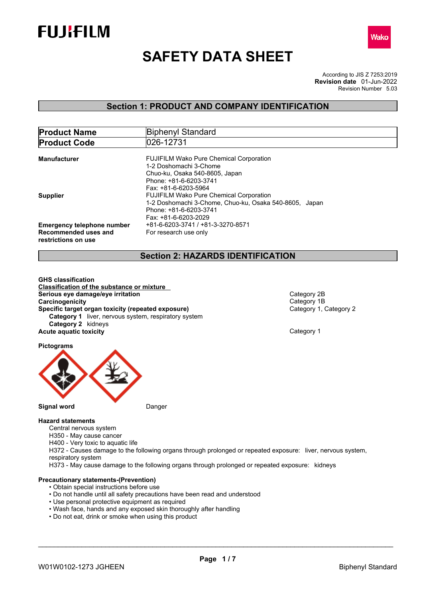



# **SAFETY DATA SHEET**

According to JIS Z 7253:2019 Revision Number 5.03 **Revision date** 01-Jun-2022

### **Section 1: PRODUCT AND COMPANY IDENTIFICATION**

| <b>Product Name</b>                                                              | Biphenyl Standard                                                                                                                                          |
|----------------------------------------------------------------------------------|------------------------------------------------------------------------------------------------------------------------------------------------------------|
| <b>Product Code</b>                                                              | 026-12731                                                                                                                                                  |
| <b>Manufacturer</b>                                                              | <b>FUJIFILM Wako Pure Chemical Corporation</b><br>1-2 Doshomachi 3-Chome                                                                                   |
|                                                                                  | Chuo-ku, Osaka 540-8605, Japan<br>Phone: +81-6-6203-3741<br>Fax: +81-6-6203-5964                                                                           |
| <b>Supplier</b>                                                                  | <b>FUJIFILM Wako Pure Chemical Corporation</b><br>1-2 Doshomachi 3-Chome, Chuo-ku, Osaka 540-8605, Japan<br>Phone: +81-6-6203-3741<br>Fax: +81-6-6203-2029 |
| <b>Emergency telephone number</b><br>Recommended uses and<br>restrictions on use | +81-6-6203-3741 / +81-3-3270-8571<br>For research use only                                                                                                 |

### **Section 2: HAZARDS IDENTIFICATION**

**GHS classification Classification of the substance or mixture Serious eye damage/eye irritation**<br> **Category 2B**<br> **Category 1B**<br> **Category 1B Carcinogenicity**<br> **Category 1B**<br> **Category 1. Category 2 Specific target organ toxicity (repeated exposure) Category 1** liver, nervous system, respiratory system **Category 2** kidneys **Acute aquatic toxicity Category 1** 

**Pictograms**



#### **Hazard statements**

Central nervous system

H350 - May cause cancer

H400 - Very toxic to aquatic life

H372 - Causes damage to the following organs through prolonged or repeated exposure: liver, nervous system, respiratory system

H373 - May cause damage to the following organs through prolonged or repeated exposure: kidneys

#### **Precautionary statements-(Prevention)**

- Obtain special instructions before use
- Do not handle until all safety precautions have been read and understood
- Use personal protective equipment as required
- Wash face, hands and any exposed skin thoroughly after handling
- Do not eat, drink or smoke when using this product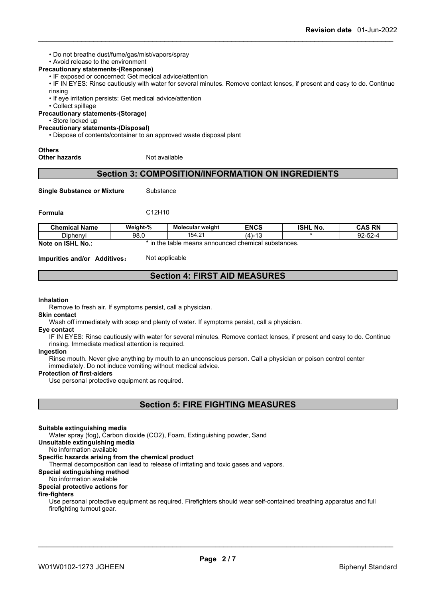• Do not breathe dust/fume/gas/mist/vapors/spray

### • Avoid release to the environment

- **Precautionary statements-(Response)**
	- IF exposed or concerned: Get medical advice/attention
	- IF IN EYES: Rinse cautiously with water for several minutes. Remove contact lenses, if present and easy to do. Continue rinsing
	- If eye irritation persists: Get medical advice/attention
	- Collect spillage

#### **Precautionary statements-(Storage)**

#### • Store locked up

#### **Precautionary statements-(Disposal)**

• Dispose of contents/container to an approved waste disposal plant

### **Others**

#### **Other hazards** Not available

### **Section 3: COMPOSITION/INFORMATION ON INGREDIENTS**

**Single Substance or Mixture** Substance

**Formula** C12H10

| Chemical Name           | Weight-%    | <b>Molecular weight</b> | <b>ENCS</b>                       | <b>ISHL No.</b> | CAS RN<br>urw                       |
|-------------------------|-------------|-------------------------|-----------------------------------|-----------------|-------------------------------------|
| - -<br>Diphenyl         | 98.0        | 154.21                  | .<br>$\overline{a}$<br>ட ட<br>ں ۔ |                 | $\sim$<br>$\sim$<br><i>ت-2</i> 0-20 |
| Note on ISHL<br>$No.$ : | - 50<br>the | ∍ means announced ⊦     | l chemical substances.            |                 |                                     |

**Impurities and/or Additives:** Not applicable

### **Section 4: FIRST AID MEASURES**

#### **Inhalation**

Remove to fresh air. If symptoms persist, call a physician.

#### **Skin contact**

Wash off immediately with soap and plenty of water. If symptoms persist, call a physician.

#### **Eye contact**

IF IN EYES: Rinse cautiously with water for several minutes. Remove contact lenses, if present and easy to do. Continue rinsing. Immediate medical attention is required.

#### **Ingestion**

Rinse mouth. Never give anything by mouth to an unconscious person. Call a physician or poison control center immediately. Do not induce vomiting without medical advice.

#### **Protection of first-aiders**

Use personal protective equipment as required.

| <b>Section 5: FIRE FIGHTING MEASURES</b> |  |
|------------------------------------------|--|
|                                          |  |

#### **Suitable extinguishing media**

Water spray (fog), Carbon dioxide (CO2), Foam, Extinguishing powder, Sand

**Unsuitable extinguishing media**

No information available

#### **Specific hazards arising from the chemical product**

Thermal decomposition can lead to release of irritating and toxic gases and vapors.

**Special extinguishing method**

### No information available

### **Special protective actions for**

#### **fire-fighters**

Use personal protective equipment as required.Firefighters should wear self-contained breathing apparatus and full firefighting turnout gear.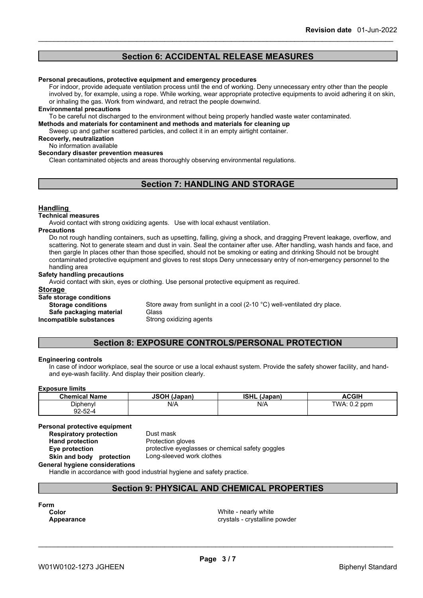### **Section 6: ACCIDENTAL RELEASE MEASURES**

#### **Personal precautions, protective equipment and emergency procedures**

For indoor, provide adequate ventilation process until the end of working. Deny unnecessary entry other than the people involved by, for example, using a rope. While working, wear appropriate protective equipments to avoid adhering it on skin, or inhaling the gas. Work from windward, and retract the people downwind.

#### **Environmental precautions**

To be careful not discharged to the environment without being properly handled waste water contaminated.

**Methods and materials for contaminent and methods and materials for cleaning up**

Sweep up and gather scattered particles, and collect it in an empty airtight container.

### **Recoverly, neutralization**

No information available

#### **Secondary disaster prevention measures**

Clean contaminated objects and areas thoroughly observing environmental regulations.

### **Section 7: HANDLING AND STORAGE**

#### **Handling**

#### **Technical measures**

Avoid contact with strong oxidizing agents. Use with local exhaust ventilation.

#### **Precautions**

Do not rough handling containers, such as upsetting, falling, giving a shock, and dragging Prevent leakage, overflow, and scattering. Not to generate steam and dust in vain. Seal the container after use. After handling, wash hands and face, and then gargle In places other than those specified, should not be smoking or eating and drinking Should not be brought contaminated protective equipment and gloves to rest stops Deny unnecessary entry of non-emergency personnel to the handling area

#### **Safety handling precautions**

Avoid contact with skin, eyes or clothing. Use personal protective equipment as required.

#### **Storage**

#### **Safe storage conditions**

**Storage conditions** Store away from sunlight in a cool (2-10 °C) well-ventilated dry place.

**Safe packaging material** Glass

**Incompatible substances** Strong oxidizing agents

### **Section 8: EXPOSURE CONTROLS/PERSONAL PROTECTION**

#### **Engineering controls**

In case of indoor workplace, seal the source or use a local exhaust system. Provide the safety shower facility, and handand eye-wash facility. And display their position clearly.

#### **Exposure limits**

| ------------------                   |              |                        |                                      |
|--------------------------------------|--------------|------------------------|--------------------------------------|
| <b>Chemical Name</b>                 | JSOH (Japan) | <b>ISHL</b><br>(Japan) | <b>ACGIH</b>                         |
| Diphenyl                             | N/A          | N/A                    | $\sim$ $\sim$<br>Τ۱۸/Δ<br>ppm<br>◡.ಒ |
| $\sim$ $\sim$<br>92-52- <sup>0</sup> |              |                        |                                      |

#### **Personal protective equipment**

**Respiratory protection** Dust mask **Hand protection** Protection gloves

**Eye protection** protective eyeglasses or chemical safety goggles **Skin and body protection** Long-sleeved work clothes

**General hygiene considerations**

Handle in accordance with good industrial hygiene and safety practice.

### **Section 9: PHYSICAL AND CHEMICAL PROPERTIES**

**Form**

**Color** White - nearly white **Appearance** crystals - crystalline powder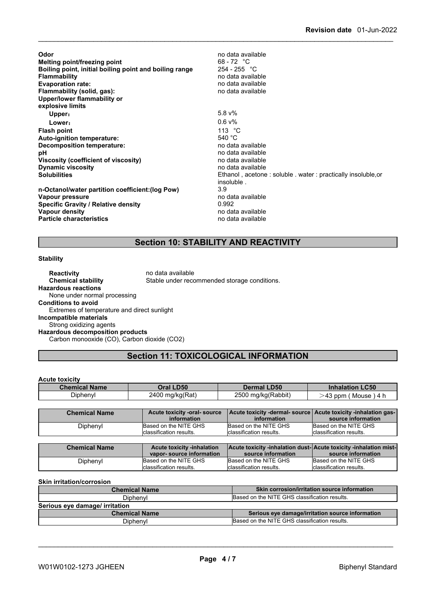| Odor<br>Melting point/freezing point<br>Boiling point, initial boiling point and boiling range<br><b>Flammability</b><br><b>Evaporation rate:</b><br>Flammability (solid, gas):<br>Upper/lower flammability or<br>explosive limits | no data available<br>$68 - 72$ °C<br>$254 - 255$ °C<br>no data available<br>no data available<br>no data available                                                                                   |
|------------------------------------------------------------------------------------------------------------------------------------------------------------------------------------------------------------------------------------|------------------------------------------------------------------------------------------------------------------------------------------------------------------------------------------------------|
| Upper:                                                                                                                                                                                                                             | $5.8 \sqrt{20}$                                                                                                                                                                                      |
| Lower:                                                                                                                                                                                                                             | $0.6 v\%$                                                                                                                                                                                            |
| <b>Flash point</b><br>Auto-ignition temperature:<br>Decomposition temperature:<br>рH<br>Viscosity (coefficient of viscosity)<br><b>Dynamic viscosity</b><br><b>Solubilities</b>                                                    | 113 $\degree$ C<br>540 $^{\circ}$ C<br>no data available<br>no data available<br>no data available<br>no data available<br>Ethanol, acetone: soluble. water: practically insoluble, or<br>insoluble. |
| n-Octanol/water partition coefficient: (log Pow)<br>Vapour pressure<br><b>Specific Gravity / Relative density</b><br>Vapour density<br><b>Particle characteristics</b>                                                             | 3.9<br>no data available<br>0.992<br>no data available<br>no data available                                                                                                                          |

### **Section 10: STABILITY AND REACTIVITY**

#### **Stability**

**Reactivity no data available Chemical stability** Stable under recommended storage conditions. **Hazardous reactions** None under normal processing **Conditions to avoid** Extremes of temperature and direct sunlight **Incompatible materials** Strong oxidizing agents **Hazardous decomposition products** Carbon monooxide (CO), Carbon dioxide (CO2)

### **Section 11: TOXICOLOGICAL INFORMATION**

#### **Acute toxicity**

| <b>Chemical Name</b> | <b>LD50</b>          | <b>LD50</b>             | <b>LC50</b>                        |
|----------------------|----------------------|-------------------------|------------------------------------|
|                      | )ral                 | .rmal f                 | <b>Inhalation</b>                  |
| - -<br>Diphenyl      | 2400 mg/kg(Rat)<br>ັ | 2500<br>) ma/ka(Rabbit) | $+43$ ppm<br>Mouse<br>$\mathbf{A}$ |

| Based on the NITE GHS<br>Based on the NITE GHS<br>Based on the NITE GHS<br>Diphenyl | <b>Chemical Name</b> | Acute toxicity -oral-source<br>information | Acute toxicity -dermal-source Acute toxicity -inhalation gas-<br>information | source information |
|-------------------------------------------------------------------------------------|----------------------|--------------------------------------------|------------------------------------------------------------------------------|--------------------|
|                                                                                     |                      |                                            |                                                                              |                    |
| classification results.<br>Iclassification results.<br>lclassification results.     |                      |                                            |                                                                              |                    |

| <b>Chemical Name</b> | <b>Acute toxicity -inhalation</b> |                          | <b>Acute toxicity -inhalation dust-Acute toxicity -inhalation mist-</b> |
|----------------------|-----------------------------------|--------------------------|-------------------------------------------------------------------------|
|                      | vapor-source information          | source information       | source information                                                      |
| Diphenyl             | Based on the NITE GHS             | Based on the NITE GHS    | Based on the NITE GHS                                                   |
|                      | Iclassification results.          | Iclassification results. | lclassification results.                                                |

**Skin irritation/corrosion**

| <b>Chemical Name</b>           | Skin corrosion/irritation source information     |
|--------------------------------|--------------------------------------------------|
| <b>Diphenvl</b>                | Based on the NITE GHS classification results.    |
| Serious eye damage/ irritation |                                                  |
| <b>Chemical Name</b>           | Serious eye damage/irritation source information |
| Diphenyl                       | Based on the NITE GHS classification results.    |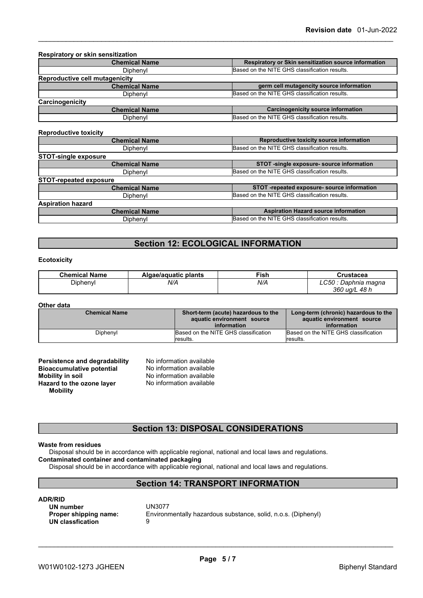| <b>Chemical Name</b>                  | Respiratory or Skin sensitization source information |
|---------------------------------------|------------------------------------------------------|
| Diphenyl                              | Based on the NITE GHS classification results.        |
| <b>Reproductive cell mutagenicity</b> |                                                      |
| <b>Chemical Name</b>                  | germ cell mutagencity source information             |
| Diphenyl                              | Based on the NITE GHS classification results.        |
| Carcinogenicity                       |                                                      |
| <b>Chemical Name</b>                  | <b>Carcinogenicity source information</b>            |
| Diphenyl                              | Based on the NITE GHS classification results.        |

#### **Reproductive toxicity**

| <b>Chemical Name</b>          | Reproductive toxicity source information      |
|-------------------------------|-----------------------------------------------|
| Diphenyl                      | Based on the NITE GHS classification results. |
| <b>STOT-single exposure</b>   |                                               |
| <b>Chemical Name</b>          | STOT -single exposure- source information     |
| Diphenyl                      | Based on the NITE GHS classification results. |
| <b>STOT-repeated exposure</b> |                                               |
| <b>Chemical Name</b>          | STOT-repeated exposure- source information    |
| Diphenyl                      | Based on the NITE GHS classification results. |
| <b>Aspiration hazard</b>      |                                               |
| <b>Chemical Name</b>          | <b>Aspiration Hazard source information</b>   |
| Diphenyl                      | Based on the NITE GHS classification results. |
|                               |                                               |

### **Section 12: ECOLOGICAL INFORMATION**

#### **Ecotoxicity**

| <b>Chemical Name</b> | Algae/aguatic plants | <b>Fish</b> | ∵rustacea<br>.                               |
|----------------------|----------------------|-------------|----------------------------------------------|
| Diphenyl             | N/A                  | N/A         | ∟C50<br>Daphnia magna<br>360<br>48 h<br>ua/L |

#### **Other data**

| <b>Chemical Name</b> | Short-term (acute) hazardous to the<br>aquatic environment source | Long-term (chronic) hazardous to the<br>aquatic environment source |  |
|----------------------|-------------------------------------------------------------------|--------------------------------------------------------------------|--|
|                      | information                                                       | information                                                        |  |
| Diphenyl             | Based on the NITE GHS classification                              | Based on the NITE GHS classification                               |  |
|                      | <i><b>Iresults.</b></i>                                           | results.                                                           |  |

| Persistence and degradability    | No information available |  |
|----------------------------------|--------------------------|--|
| <b>Bioaccumulative potential</b> | No information available |  |
| Mobility in soil                 | No information available |  |
| Hazard to the ozone layer        | No information available |  |
| <b>Mobility</b>                  |                          |  |

### **Section 13: DISPOSAL CONSIDERATIONS**

#### **Waste from residues**

Disposal should be in accordance with applicable regional, national and local laws and regulations. **Contaminated container and contaminated packaging**

Disposal should be in accordance with applicable regional, national and local laws and regulations.

### **Section 14: TRANSPORT INFORMATION**

#### **ADR/RID**

**UN number** UN3077 **UN classfication** 9

**Proper shipping name:** Environmentally hazardous substance, solid, n.o.s. (Diphenyl)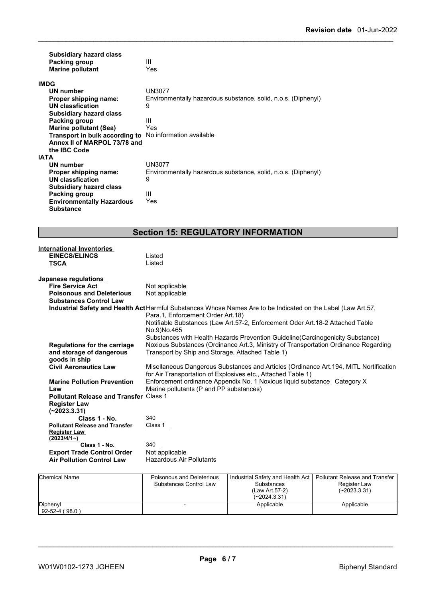| <b>Subsidiary hazard class</b><br>Packing group<br><b>Marine pollutant</b> | Ш<br>Yes                                                      |
|----------------------------------------------------------------------------|---------------------------------------------------------------|
| <b>IMDG</b>                                                                |                                                               |
| UN number                                                                  | UN3077                                                        |
| Proper shipping name:                                                      | Environmentally hazardous substance, solid, n.o.s. (Diphenyl) |
| <b>UN classfication</b>                                                    | 9                                                             |
| <b>Subsidiary hazard class</b>                                             |                                                               |
| Packing group                                                              | Ш                                                             |
| <b>Marine pollutant (Sea)</b>                                              | Yes                                                           |
| <b>Transport in bulk according to</b> No information available             |                                                               |
| Annex II of MARPOL 73/78 and                                               |                                                               |
| the IBC Code<br><b>IATA</b>                                                |                                                               |
| UN number                                                                  | UN3077                                                        |
| Proper shipping name:                                                      | Environmentally hazardous substance, solid, n.o.s. (Diphenyl) |
| UN classfication                                                           | 9                                                             |
| <b>Subsidiary hazard class</b>                                             |                                                               |
| Packing group                                                              | Ш                                                             |
| <b>Environmentally Hazardous</b>                                           | Yes                                                           |
| <b>Substance</b>                                                           |                                                               |

## **Section 15: REGULATORY INFORMATION**

| <b>International Inventories</b>              |                                                                                                                                                    |
|-----------------------------------------------|----------------------------------------------------------------------------------------------------------------------------------------------------|
| <b>EINECS/ELINCS</b>                          | Listed                                                                                                                                             |
| <b>TSCA</b>                                   | Listed                                                                                                                                             |
|                                               |                                                                                                                                                    |
| Japanese regulations                          |                                                                                                                                                    |
| <b>Fire Service Act</b>                       | Not applicable                                                                                                                                     |
| <b>Poisonous and Deleterious</b>              | Not applicable                                                                                                                                     |
| <b>Substances Control Law</b>                 |                                                                                                                                                    |
|                                               | Industrial Safety and Health Act Harmful Substances Whose Names Are to be Indicated on the Label (Law Art.57,<br>Para.1, Enforcement Order Art.18) |
|                                               | Notifiable Substances (Law Art.57-2, Enforcement Oder Art.18-2 Attached Table                                                                      |
|                                               | No.9)No.465                                                                                                                                        |
|                                               | Substances with Health Hazards Prevention Guideline(Carcinogenicity Substance)                                                                     |
| <b>Regulations for the carriage</b>           | Noxious Substances (Ordinance Art.3, Ministry of Transportation Ordinance Regarding                                                                |
| and storage of dangerous                      | Transport by Ship and Storage, Attached Table 1)                                                                                                   |
| goods in ship                                 |                                                                                                                                                    |
| <b>Civil Aeronautics Law</b>                  | Misellaneous Dangerous Substances and Articles (Ordinance Art. 194, MITL Nortification                                                             |
|                                               | for Air Transportation of Explosives etc., Attached Table 1)                                                                                       |
| <b>Marine Pollution Prevention</b>            | Enforcement ordinance Appendix No. 1 Noxious liquid substance Category X                                                                           |
| Law                                           | Marine pollutants (P and PP substances)                                                                                                            |
| <b>Pollutant Release and Transfer Class 1</b> |                                                                                                                                                    |
| <b>Register Law</b>                           |                                                                                                                                                    |
| $(-2023.3.31)$                                |                                                                                                                                                    |
| Class 1 - No.                                 | 340                                                                                                                                                |
| <b>Pollutant Release and Transfer</b>         | Class 1                                                                                                                                            |
| <b>Register Law</b>                           |                                                                                                                                                    |
| (2023/4/1)                                    |                                                                                                                                                    |
| Class 1 - No.                                 | 340                                                                                                                                                |
| <b>Export Trade Control Order</b>             | Not applicable                                                                                                                                     |
| <b>Air Pollution Control Law</b>              | <b>Hazardous Air Pollutants</b>                                                                                                                    |
|                                               |                                                                                                                                                    |

| <b>Chemical Name</b>             | Poisonous and Deleterious<br>Substances Control Law | Industrial Safety and Health Act<br>Substances<br>(Law Art.57-2)<br>(~2024.3.31) | Pollutant Release and Transfer<br>Register Law<br>$(-2023.3.31)$ |
|----------------------------------|-----------------------------------------------------|----------------------------------------------------------------------------------|------------------------------------------------------------------|
| Diphenyl<br>$92 - 52 - 4 (98.0)$ |                                                     | Applicable                                                                       | Applicable                                                       |